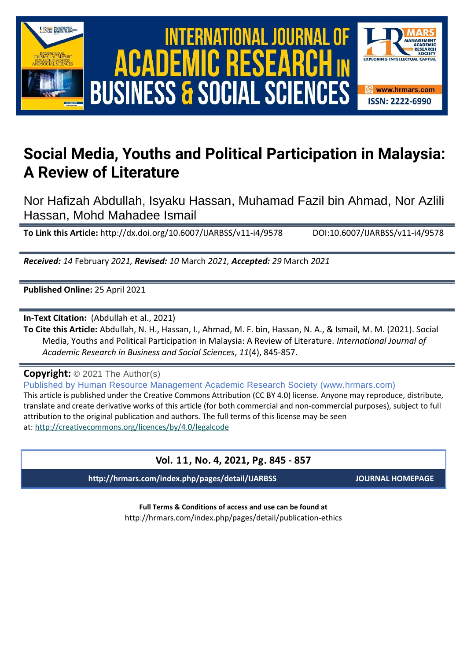

# International Journal of Academic Research in Business and Social Sciences **Vol. 1 1 , No. 4, 2021, E-ISSN: 2222-6990 © 2021 HRMARS** ACADEMIC R **BUSINESS & SOCIAL SCIENCES**



# **Social Media, Youths and Political Participation in Malaysia: A Review of Literature**

Nor Hafizah Abdullah, Isyaku Hassan, Muhamad Fazil bin Ahmad, Nor Azlili Hassan, Mohd Mahadee Ismail

**To Link this Article:** http://dx.doi.org/10.6007/IJARBSS/v11-i4/9578 DOI:10.6007/IJARBSS/v11-i4/9578

*Received: 14* February *2021, Revised: 10* March *2021, Accepted: 29* March *2021*

**Published Online:** 25 April 2021

**In-Text Citation:** (Abdullah et al., 2021)

**To Cite this Article:** Abdullah, N. H., Hassan, I., Ahmad, M. F. bin, Hassan, N. A., & Ismail, M. M. (2021). Social Media, Youths and Political Participation in Malaysia: A Review of Literature. *International Journal of Academic Research in Business and Social Sciences*, *11*(4), 845-857.

**Copyright:** © 2021 The Author(s)

Published by Human Resource Management Academic Research Society (www.hrmars.com) This article is published under the Creative Commons Attribution (CC BY 4.0) license. Anyone may reproduce, distribute, translate and create derivative works of this article (for both commercial and non-commercial purposes), subject to full attribution to the original publication and authors. The full terms of this license may be seen at: <http://creativecommons.org/licences/by/4.0/legalcode>

## **Vol. 11, No. 4, 2021, Pg. 845 - 857**

**http://hrmars.com/index.php/pages/detail/IJARBSS JOURNAL HOMEPAGE**

**Full Terms & Conditions of access and use can be found at** http://hrmars.com/index.php/pages/detail/publication-ethics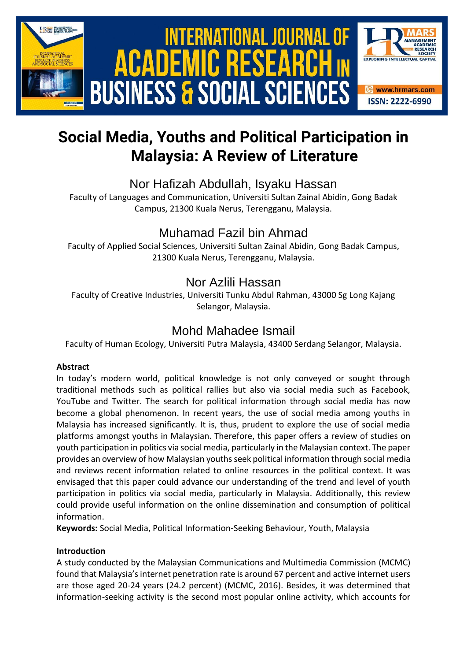

# **Social Media, Youths and Political Participation in Malaysia: A Review of Literature**

# Nor Hafizah Abdullah, Isyaku Hassan

Faculty of Languages and Communication, Universiti Sultan Zainal Abidin, Gong Badak Campus, 21300 Kuala Nerus, Terengganu, Malaysia.

# Muhamad Fazil bin Ahmad

Faculty of Applied Social Sciences, Universiti Sultan Zainal Abidin, Gong Badak Campus, 21300 Kuala Nerus, Terengganu, Malaysia.

# Nor Azlili Hassan

Faculty of Creative Industries, Universiti Tunku Abdul Rahman, 43000 Sg Long Kajang Selangor, Malaysia.

# Mohd Mahadee Ismail

Faculty of Human Ecology, Universiti Putra Malaysia, 43400 Serdang Selangor, Malaysia.

## **Abstract**

In today's modern world, political knowledge is not only conveyed or sought through traditional methods such as political rallies but also via social media such as Facebook, YouTube and Twitter. The search for political information through social media has now become a global phenomenon. In recent years, the use of social media among youths in Malaysia has increased significantly. It is, thus, prudent to explore the use of social media platforms amongst youths in Malaysian. Therefore, this paper offers a review of studies on youth participation in politics via social media, particularly in the Malaysian context. The paper provides an overview of how Malaysian youths seek political information through social media and reviews recent information related to online resources in the political context. It was envisaged that this paper could advance our understanding of the trend and level of youth participation in politics via social media, particularly in Malaysia. Additionally, this review could provide useful information on the online dissemination and consumption of political information.

**Keywords:** Social Media, Political Information-Seeking Behaviour, Youth, Malaysia

## **Introduction**

A study conducted by the Malaysian Communications and Multimedia Commission (MCMC) found that Malaysia's internet penetration rate is around 67 percent and active internet users are those aged 20-24 years (24.2 percent) (MCMC, 2016). Besides, it was determined that information-seeking activity is the second most popular online activity, which accounts for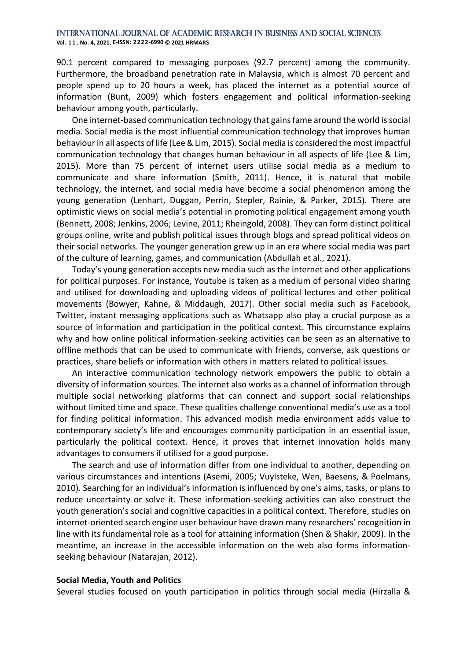#### International Journal of Academic Research in Business and Social Sciences **Vol. 1 1 , No. 4, 2021, E-ISSN: 2222-6990 © 2021 HRMARS**

90.1 percent compared to messaging purposes (92.7 percent) among the community. Furthermore, the broadband penetration rate in Malaysia, which is almost 70 percent and people spend up to 20 hours a week, has placed the internet as a potential source of information (Bunt, 2009) which fosters engagement and political information-seeking behaviour among youth, particularly.

One internet-based communication technology that gains fame around the world is social media. Social media is the most influential communication technology that improves human behaviour in all aspects of life (Lee & Lim, 2015). Social media is considered the most impactful communication technology that changes human behaviour in all aspects of life (Lee & Lim, 2015). More than 75 percent of internet users utilise social media as a medium to communicate and share information (Smith, 2011). Hence, it is natural that mobile technology, the internet, and social media have become a social phenomenon among the young generation (Lenhart, Duggan, Perrin, Stepler, Rainie, & Parker, 2015). There are optimistic views on social media's potential in promoting political engagement among youth (Bennett, 2008; Jenkins, 2006; Levine, 2011; Rheingold, 2008). They can form distinct political groups online, write and publish political issues through blogs and spread political videos on their social networks. The younger generation grew up in an era where social media was part of the culture of learning, games, and communication (Abdullah et al., 2021).

Today's young generation accepts new media such as the internet and other applications for political purposes. For instance, Youtube is taken as a medium of personal video sharing and utilised for downloading and uploading videos of political lectures and other political movements (Bowyer, Kahne, & Middaugh, 2017). Other social media such as Facebook, Twitter, instant messaging applications such as Whatsapp also play a crucial purpose as a source of information and participation in the political context. This circumstance explains why and how online political information-seeking activities can be seen as an alternative to offline methods that can be used to communicate with friends, converse, ask questions or practices, share beliefs or information with others in matters related to political issues.

An interactive communication technology network empowers the public to obtain a diversity of information sources. The internet also works as a channel of information through multiple social networking platforms that can connect and support social relationships without limited time and space. These qualities challenge conventional media's use as a tool for finding political information. This advanced modish media environment adds value to contemporary society's life and encourages community participation in an essential issue, particularly the political context. Hence, it proves that internet innovation holds many advantages to consumers if utilised for a good purpose.

The search and use of information differ from one individual to another, depending on various circumstances and intentions (Asemi, 2005; Vuylsteke, Wen, Baesens, & Poelmans, 2010). Searching for an individual's information is influenced by one's aims, tasks, or plans to reduce uncertainty or solve it. These information-seeking activities can also construct the youth generation's social and cognitive capacities in a political context. Therefore, studies on internet-oriented search engine user behaviour have drawn many researchers' recognition in line with its fundamental role as a tool for attaining information (Shen & Shakir, 2009). In the meantime, an increase in the accessible information on the web also forms informationseeking behaviour (Natarajan, 2012).

#### **Social Media, Youth and Politics**

Several studies focused on youth participation in politics through social media (Hirzalla &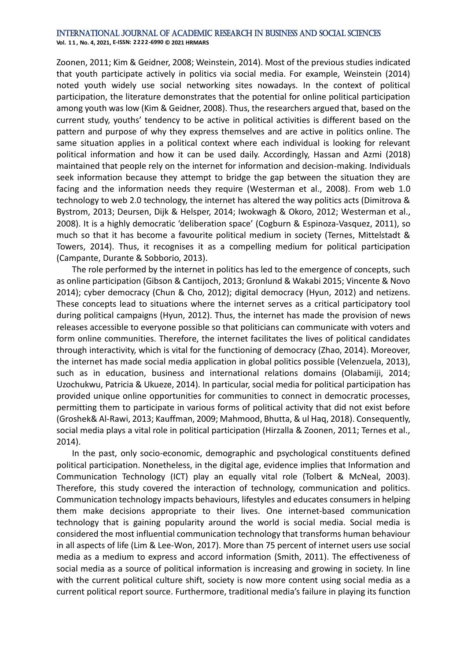**Vol. 1 1 , No. 4, 2021, E-ISSN: 2222-6990 © 2021 HRMARS**

Zoonen, 2011; Kim & Geidner, 2008; Weinstein, 2014). Most of the previous studies indicated that youth participate actively in politics via social media. For example, Weinstein (2014) noted youth widely use social networking sites nowadays. In the context of political participation, the literature demonstrates that the potential for online political participation among youth was low (Kim & Geidner, 2008). Thus, the researchers argued that, based on the current study, youths' tendency to be active in political activities is different based on the pattern and purpose of why they express themselves and are active in politics online. The same situation applies in a political context where each individual is looking for relevant political information and how it can be used daily. Accordingly, Hassan and Azmi (2018) maintained that people rely on the internet for information and decision-making. Individuals seek information because they attempt to bridge the gap between the situation they are facing and the information needs they require (Westerman et al., 2008). From web 1.0 technology to web 2.0 technology, the internet has altered the way politics acts (Dimitrova & Bystrom, 2013; Deursen, Dijk & Helsper, 2014; Iwokwagh & Okoro, 2012; Westerman et al., 2008). It is a highly democratic 'deliberation space' (Cogburn & Espinoza-Vasquez, 2011), so much so that it has become a favourite political medium in society (Ternes, Mittelstadt & Towers, 2014). Thus, it recognises it as a compelling medium for political participation (Campante, Durante & Sobborio, 2013).

The role performed by the internet in politics has led to the emergence of concepts, such as online participation (Gibson & Cantijoch, 2013; Gronlund & Wakabi 2015; Vincente & Novo 2014); cyber democracy (Chun & Cho, 2012); digital democracy (Hyun, 2012) and netizens. These concepts lead to situations where the internet serves as a critical participatory tool during political campaigns (Hyun, 2012). Thus, the internet has made the provision of news releases accessible to everyone possible so that politicians can communicate with voters and form online communities. Therefore, the internet facilitates the lives of political candidates through interactivity, which is vital for the functioning of democracy (Zhao, 2014). Moreover, the internet has made social media application in global politics possible (Velenzuela, 2013), such as in education, business and international relations domains (Olabamiji, 2014; Uzochukwu, Patricia & Ukueze, 2014). In particular, social media for political participation has provided unique online opportunities for communities to connect in democratic processes, permitting them to participate in various forms of political activity that did not exist before (Groshek& Al-Rawi, 2013; Kauffman, 2009; Mahmood, Bhutta, & ul Haq, 2018). Consequently, social media plays a vital role in political participation (Hirzalla & Zoonen, 2011; Ternes et al., 2014).

In the past, only socio-economic, demographic and psychological constituents defined political participation. Nonetheless, in the digital age, evidence implies that Information and Communication Technology (ICT) play an equally vital role (Tolbert & McNeal, 2003). Therefore, this study covered the interaction of technology, communication and politics. Communication technology impacts behaviours, lifestyles and educates consumers in helping them make decisions appropriate to their lives. One internet-based communication technology that is gaining popularity around the world is social media. Social media is considered the most influential communication technology that transforms human behaviour in all aspects of life (Lim & Lee-Won, 2017). More than 75 percent of internet users use social media as a medium to express and accord information (Smith, 2011). The effectiveness of social media as a source of political information is increasing and growing in society. In line with the current political culture shift, society is now more content using social media as a current political report source. Furthermore, traditional media's failure in playing its function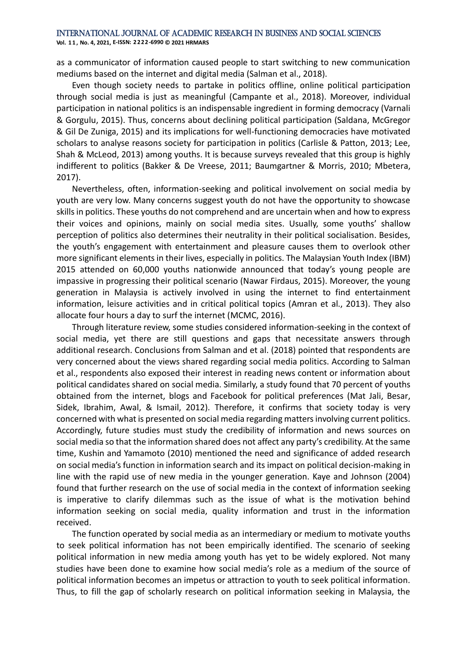**Vol. 1 1 , No. 4, 2021, E-ISSN: 2222-6990 © 2021 HRMARS**

as a communicator of information caused people to start switching to new communication mediums based on the internet and digital media (Salman et al., 2018).

Even though society needs to partake in politics offline, online political participation through social media is just as meaningful (Campante et al., 2018). Moreover, individual participation in national politics is an indispensable ingredient in forming democracy (Varnali & Gorgulu, 2015). Thus, concerns about declining political participation (Saldana, McGregor & Gil De Zuniga, 2015) and its implications for well-functioning democracies have motivated scholars to analyse reasons society for participation in politics (Carlisle & Patton, 2013; Lee, Shah & McLeod, 2013) among youths. It is because surveys revealed that this group is highly indifferent to politics (Bakker & De Vreese, 2011; Baumgartner & Morris, 2010; Mbetera, 2017).

Nevertheless, often, information-seeking and political involvement on social media by youth are very low. Many concerns suggest youth do not have the opportunity to showcase skills in politics. These youths do not comprehend and are uncertain when and how to express their voices and opinions, mainly on social media sites. Usually, some youths' shallow perception of politics also determines their neutrality in their political socialisation. Besides, the youth's engagement with entertainment and pleasure causes them to overlook other more significant elements in their lives, especially in politics. The Malaysian Youth Index (IBM) 2015 attended on 60,000 youths nationwide announced that today's young people are impassive in progressing their political scenario (Nawar Firdaus, 2015). Moreover, the young generation in Malaysia is actively involved in using the internet to find entertainment information, leisure activities and in critical political topics (Amran et al., 2013). They also allocate four hours a day to surf the internet (MCMC, 2016).

Through literature review, some studies considered information-seeking in the context of social media, yet there are still questions and gaps that necessitate answers through additional research. Conclusions from Salman and et al. (2018) pointed that respondents are very concerned about the views shared regarding social media politics. According to Salman et al., respondents also exposed their interest in reading news content or information about political candidates shared on social media. Similarly, a study found that 70 percent of youths obtained from the internet, blogs and Facebook for political preferences (Mat Jali, Besar, Sidek, Ibrahim, Awal, & Ismail, 2012). Therefore, it confirms that society today is very concerned with what is presented on social media regarding matters involving current politics. Accordingly, future studies must study the credibility of information and news sources on social media so that the information shared does not affect any party's credibility. At the same time, Kushin and Yamamoto (2010) mentioned the need and significance of added research on social media's function in information search and its impact on political decision-making in line with the rapid use of new media in the younger generation. Kaye and Johnson (2004) found that further research on the use of social media in the context of information seeking is imperative to clarify dilemmas such as the issue of what is the motivation behind information seeking on social media, quality information and trust in the information received.

The function operated by social media as an intermediary or medium to motivate youths to seek political information has not been empirically identified. The scenario of seeking political information in new media among youth has yet to be widely explored. Not many studies have been done to examine how social media's role as a medium of the source of political information becomes an impetus or attraction to youth to seek political information. Thus, to fill the gap of scholarly research on political information seeking in Malaysia, the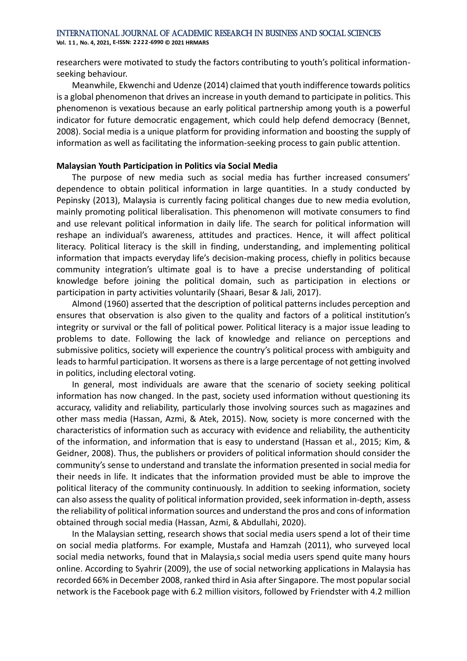**Vol. 1 1 , No. 4, 2021, E-ISSN: 2222-6990 © 2021 HRMARS**

researchers were motivated to study the factors contributing to youth's political informationseeking behaviour.

Meanwhile, Ekwenchi and Udenze (2014) claimed that youth indifference towards politics is a global phenomenon that drives an increase in youth demand to participate in politics. This phenomenon is vexatious because an early political partnership among youth is a powerful indicator for future democratic engagement, which could help defend democracy (Bennet, 2008). Social media is a unique platform for providing information and boosting the supply of information as well as facilitating the information-seeking process to gain public attention.

#### **Malaysian Youth Participation in Politics via Social Media**

The purpose of new media such as social media has further increased consumers' dependence to obtain political information in large quantities. In a study conducted by Pepinsky (2013), Malaysia is currently facing political changes due to new media evolution, mainly promoting political liberalisation. This phenomenon will motivate consumers to find and use relevant political information in daily life. The search for political information will reshape an individual's awareness, attitudes and practices. Hence, it will affect political literacy. Political literacy is the skill in finding, understanding, and implementing political information that impacts everyday life's decision-making process, chiefly in politics because community integration's ultimate goal is to have a precise understanding of political knowledge before joining the political domain, such as participation in elections or participation in party activities voluntarily (Shaari, Besar & Jali, 2017).

Almond (1960) asserted that the description of political patterns includes perception and ensures that observation is also given to the quality and factors of a political institution's integrity or survival or the fall of political power. Political literacy is a major issue leading to problems to date. Following the lack of knowledge and reliance on perceptions and submissive politics, society will experience the country's political process with ambiguity and leads to harmful participation. It worsens as there is a large percentage of not getting involved in politics, including electoral voting.

In general, most individuals are aware that the scenario of society seeking political information has now changed. In the past, society used information without questioning its accuracy, validity and reliability, particularly those involving sources such as magazines and other mass media (Hassan, Azmi, & Atek, 2015). Now, society is more concerned with the characteristics of information such as accuracy with evidence and reliability, the authenticity of the information, and information that is easy to understand (Hassan et al., 2015; Kim, & Geidner, 2008). Thus, the publishers or providers of political information should consider the community's sense to understand and translate the information presented in social media for their needs in life. It indicates that the information provided must be able to improve the political literacy of the community continuously. In addition to seeking information, society can also assess the quality of political information provided, seek information in-depth, assess the reliability of political information sources and understand the pros and cons of information obtained through social media (Hassan, Azmi, & Abdullahi, 2020).

In the Malaysian setting, research shows that social media users spend a lot of their time on social media platforms. For example, Mustafa and Hamzah (2011), who surveyed local social media networks, found that in Malaysia,s social media users spend quite many hours online. According to Syahrir (2009), the use of social networking applications in Malaysia has recorded 66% in December 2008, ranked third in Asia after Singapore. The most popular social network is the Facebook page with 6.2 million visitors, followed by Friendster with 4.2 million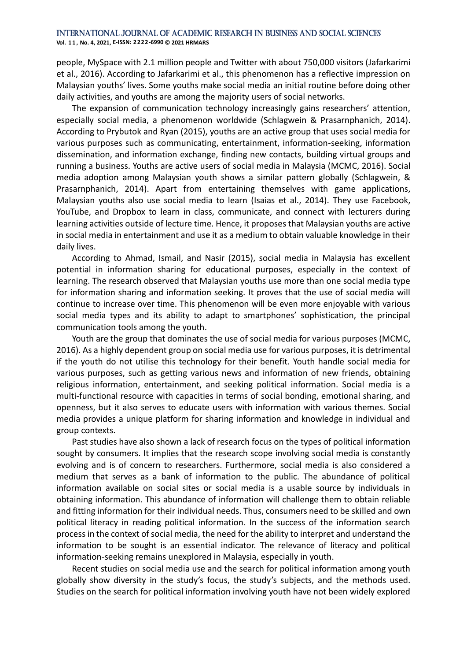**Vol. 1 1 , No. 4, 2021, E-ISSN: 2222-6990 © 2021 HRMARS**

people, MySpace with 2.1 million people and Twitter with about 750,000 visitors (Jafarkarimi et al., 2016). According to Jafarkarimi et al., this phenomenon has a reflective impression on Malaysian youths' lives. Some youths make social media an initial routine before doing other daily activities, and youths are among the majority users of social networks.

The expansion of communication technology increasingly gains researchers' attention, especially social media, a phenomenon worldwide (Schlagwein & Prasarnphanich, 2014). According to Prybutok and Ryan (2015), youths are an active group that uses social media for various purposes such as communicating, entertainment, information-seeking, information dissemination, and information exchange, finding new contacts, building virtual groups and running a business. Youths are active users of social media in Malaysia (MCMC, 2016). Social media adoption among Malaysian youth shows a similar pattern globally (Schlagwein, & Prasarnphanich, 2014). Apart from entertaining themselves with game applications, Malaysian youths also use social media to learn (Isaias et al., 2014). They use Facebook, YouTube, and Dropbox to learn in class, communicate, and connect with lecturers during learning activities outside of lecture time. Hence, it proposes that Malaysian youths are active in social media in entertainment and use it as a medium to obtain valuable knowledge in their daily lives.

According to Ahmad, Ismail, and Nasir (2015), social media in Malaysia has excellent potential in information sharing for educational purposes, especially in the context of learning. The research observed that Malaysian youths use more than one social media type for information sharing and information seeking. It proves that the use of social media will continue to increase over time. This phenomenon will be even more enjoyable with various social media types and its ability to adapt to smartphones' sophistication, the principal communication tools among the youth.

Youth are the group that dominates the use of social media for various purposes (MCMC, 2016). As a highly dependent group on social media use for various purposes, it is detrimental if the youth do not utilise this technology for their benefit. Youth handle social media for various purposes, such as getting various news and information of new friends, obtaining religious information, entertainment, and seeking political information. Social media is a multi-functional resource with capacities in terms of social bonding, emotional sharing, and openness, but it also serves to educate users with information with various themes. Social media provides a unique platform for sharing information and knowledge in individual and group contexts.

Past studies have also shown a lack of research focus on the types of political information sought by consumers. It implies that the research scope involving social media is constantly evolving and is of concern to researchers. Furthermore, social media is also considered a medium that serves as a bank of information to the public. The abundance of political information available on social sites or social media is a usable source by individuals in obtaining information. This abundance of information will challenge them to obtain reliable and fitting information for their individual needs. Thus, consumers need to be skilled and own political literacy in reading political information. In the success of the information search process in the context of social media, the need for the ability to interpret and understand the information to be sought is an essential indicator. The relevance of literacy and political information-seeking remains unexplored in Malaysia, especially in youth.

Recent studies on social media use and the search for political information among youth globally show diversity in the study's focus, the study's subjects, and the methods used. Studies on the search for political information involving youth have not been widely explored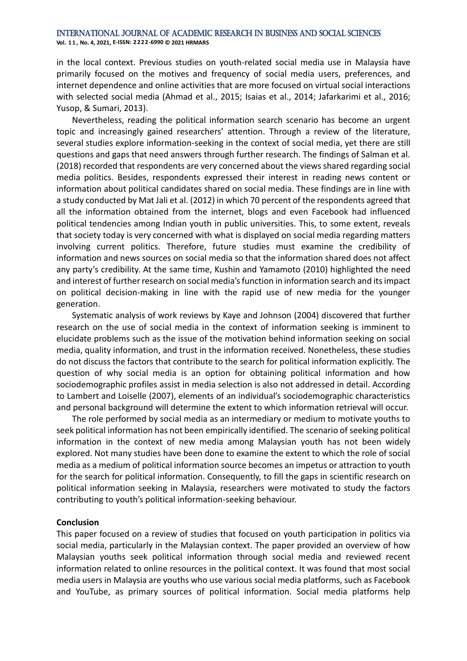**Vol. 1 1 , No. 4, 2021, E-ISSN: 2222-6990 © 2021 HRMARS**

in the local context. Previous studies on youth-related social media use in Malaysia have primarily focused on the motives and frequency of social media users, preferences, and internet dependence and online activities that are more focused on virtual social interactions with selected social media (Ahmad et al., 2015; Isaias et al., 2014; Jafarkarimi et al., 2016; Yusop, & Sumari, 2013).

Nevertheless, reading the political information search scenario has become an urgent topic and increasingly gained researchers' attention. Through a review of the literature, several studies explore information-seeking in the context of social media, yet there are still questions and gaps that need answers through further research. The findings of Salman et al. (2018) recorded that respondents are very concerned about the views shared regarding social media politics. Besides, respondents expressed their interest in reading news content or information about political candidates shared on social media. These findings are in line with a study conducted by Mat Jali et al. (2012) in which 70 percent of the respondents agreed that all the information obtained from the internet, blogs and even Facebook had influenced political tendencies among Indian youth in public universities. This, to some extent, reveals that society today is very concerned with what is displayed on social media regarding matters involving current politics. Therefore, future studies must examine the credibility of information and news sources on social media so that the information shared does not affect any party's credibility. At the same time, Kushin and Yamamoto (2010) highlighted the need and interest of further research on social media's function in information search and its impact on political decision-making in line with the rapid use of new media for the younger generation.

Systematic analysis of work reviews by Kaye and Johnson (2004) discovered that further research on the use of social media in the context of information seeking is imminent to elucidate problems such as the issue of the motivation behind information seeking on social media, quality information, and trust in the information received. Nonetheless, these studies do not discuss the factors that contribute to the search for political information explicitly. The question of why social media is an option for obtaining political information and how sociodemographic profiles assist in media selection is also not addressed in detail. According to Lambert and Loiselle (2007), elements of an individual's sociodemographic characteristics and personal background will determine the extent to which information retrieval will occur.

The role performed by social media as an intermediary or medium to motivate youths to seek political information has not been empirically identified. The scenario of seeking political information in the context of new media among Malaysian youth has not been widely explored. Not many studies have been done to examine the extent to which the role of social media as a medium of political information source becomes an impetus or attraction to youth for the search for political information. Consequently, to fill the gaps in scientific research on political information seeking in Malaysia, researchers were motivated to study the factors contributing to youth's political information-seeking behaviour.

### **Conclusion**

This paper focused on a review of studies that focused on youth participation in politics via social media, particularly in the Malaysian context. The paper provided an overview of how Malaysian youths seek political information through social media and reviewed recent information related to online resources in the political context. It was found that most social media users in Malaysia are youths who use various social media platforms, such as Facebook and YouTube, as primary sources of political information. Social media platforms help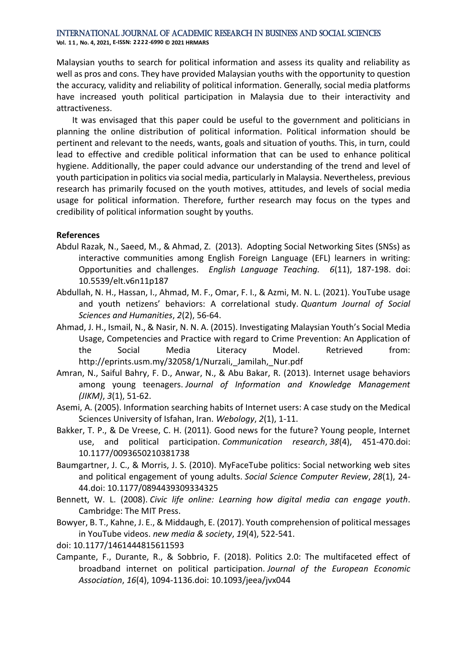**Vol. 1 1 , No. 4, 2021, E-ISSN: 2222-6990 © 2021 HRMARS**

Malaysian youths to search for political information and assess its quality and reliability as well as pros and cons. They have provided Malaysian youths with the opportunity to question the accuracy, validity and reliability of political information. Generally, social media platforms have increased youth political participation in Malaysia due to their interactivity and attractiveness.

It was envisaged that this paper could be useful to the government and politicians in planning the online distribution of political information. Political information should be pertinent and relevant to the needs, wants, goals and situation of youths. This, in turn, could lead to effective and credible political information that can be used to enhance political hygiene. Additionally, the paper could advance our understanding of the trend and level of youth participation in politics via social media, particularly in Malaysia. Nevertheless, previous research has primarily focused on the youth motives, attitudes, and levels of social media usage for political information. Therefore, further research may focus on the types and credibility of political information sought by youths.

### **References**

- Abdul Razak, N., Saeed, M., & Ahmad, Z. (2013). Adopting Social Networking Sites (SNSs) as interactive communities among English Foreign Language (EFL) learners in writing: Opportunities and challenges. *English Language Teaching. 6*(11), 187-198. doi: 10.5539/elt.v6n11p187
- Abdullah, N. H., Hassan, I., Ahmad, M. F., Omar, F. I., & Azmi, M. N. L. (2021). YouTube usage and youth netizens' behaviors: A correlational study. *Quantum Journal of Social Sciences and Humanities*, *2*(2), 56-64.
- Ahmad, J. H., Ismail, N., & Nasir, N. N. A. (2015). Investigating Malaysian Youth's Social Media Usage, Competencies and Practice with regard to Crime Prevention: An Application of the Social Media Literacy Model. Retrieved from: http://eprints.usm.my/32058/1/Nurzali,\_Jamilah,\_Nur.pdf
- Amran, N., Saiful Bahry, F. D., Anwar, N., & Abu Bakar, R. (2013). Internet usage behaviors among young teenagers. *Journal of Information and Knowledge Management (JIKM)*, *3*(1), 51-62.
- Asemi, A. (2005). Information searching habits of Internet users: A case study on the Medical Sciences University of Isfahan, Iran. *Webology*, *2*(1), 1-11.
- Bakker, T. P., & De Vreese, C. H. (2011). Good news for the future? Young people, Internet use, and political participation. *Communication research*, *38*(4), 451-470.doi: 10.1177/0093650210381738
- Baumgartner, J. C., & Morris, J. S. (2010). MyFaceTube politics: Social networking web sites and political engagement of young adults. *Social Science Computer Review*, *28*(1), 24- 44.doi: 10.1177/0894439309334325
- Bennett, W. L. (2008). *Civic life online: Learning how digital media can engage youth*. Cambridge: The MIT Press.
- Bowyer, B. T., Kahne, J. E., & Middaugh, E. (2017). Youth comprehension of political messages in YouTube videos. *new media & society*, *19*(4), 522-541.
- doi: 10.1177/1461444815611593
- Campante, F., Durante, R., & Sobbrio, F. (2018). Politics 2.0: The multifaceted effect of broadband internet on political participation. *Journal of the European Economic Association*, *16*(4), 1094-1136.doi: 10.1093/jeea/jvx044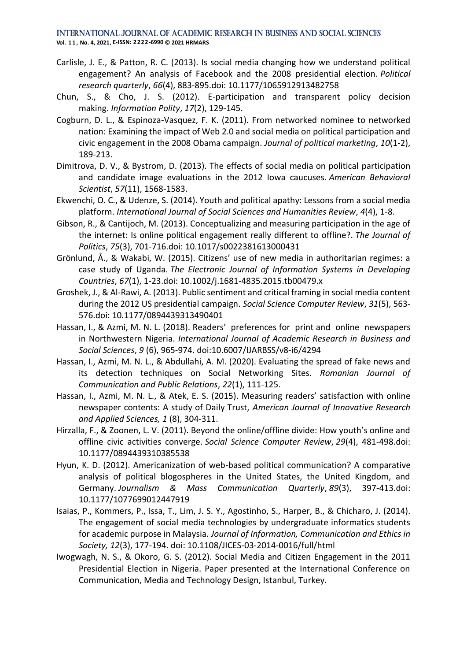#### International Journal of Academic Research in Business and Social Sciences **Vol. 1 1 , No. 4, 2021, E-ISSN: 2222-6990 © 2021 HRMARS**

- Carlisle, J. E., & Patton, R. C. (2013). Is social media changing how we understand political engagement? An analysis of Facebook and the 2008 presidential election. *Political research quarterly*, *66*(4), 883-895.doi: 10.1177/1065912913482758
- Chun, S., & Cho, J. S. (2012). E-participation and transparent policy decision making. *Information Polity*, *17*(2), 129-145.
- Cogburn, D. L., & Espinoza-Vasquez, F. K. (2011). From networked nominee to networked nation: Examining the impact of Web 2.0 and social media on political participation and civic engagement in the 2008 Obama campaign. *Journal of political marketing*, *10*(1-2), 189-213.
- Dimitrova, D. V., & Bystrom, D. (2013). The effects of social media on political participation and candidate image evaluations in the 2012 Iowa caucuses. *American Behavioral Scientist*, *57*(11), 1568-1583.
- Ekwenchi, O. C., & Udenze, S. (2014). Youth and political apathy: Lessons from a social media platform. *International Journal of Social Sciences and Humanities Review*, *4*(4), 1-8.
- Gibson, R., & Cantijoch, M. (2013). Conceptualizing and measuring participation in the age of the internet: Is online political engagement really different to offline?. *The Journal of Politics*, *75*(3), 701-716.doi: 10.1017/s0022381613000431
- Grönlund, Å., & Wakabi, W. (2015). Citizens' use of new media in authoritarian regimes: a case study of Uganda. *The Electronic Journal of Information Systems in Developing Countries*, *67*(1), 1-23.doi: 10.1002/j.1681-4835.2015.tb00479.x
- Groshek, J., & Al-Rawi, A. (2013). Public sentiment and critical framing in social media content during the 2012 US presidential campaign. *Social Science Computer Review*, *31*(5), 563- 576.doi: 10.1177/0894439313490401
- Hassan, I., & Azmi, M. N. L. (2018). Readers' preferences for print and online newspapers in Northwestern Nigeria. *International Journal of Academic Research in Business and Social Sciences*, *9* (6), 965-974. doi:10.6007/IJARBSS/v8-i6/4294
- Hassan, I., Azmi, M. N. L., & Abdullahi, A. M. (2020). Evaluating the spread of fake news and its detection techniques on Social Networking Sites. *Romanian Journal of Communication and Public Relations*, *22*(1), 111-125.
- Hassan, I., Azmi, M. N. L., & Atek, E. S. (2015). Measuring readers' satisfaction with online newspaper contents: A study of Daily Trust, *American Journal of Innovative Research and Applied Sciences, 1* (8), 304-311.
- Hirzalla, F., & Zoonen, L. V. (2011). Beyond the online/offline divide: How youth's online and offline civic activities converge. *Social Science Computer Review*, *29*(4), 481-498.doi: 10.1177/0894439310385538
- Hyun, K. D. (2012). Americanization of web-based political communication? A comparative analysis of political blogospheres in the United States, the United Kingdom, and Germany. *Journalism & Mass Communication Quarterly*, *89*(3), 397-413.doi: 10.1177/1077699012447919
- Isaias, P., Kommers, P., Issa, T., Lim, J. S. Y., Agostinho, S., Harper, B., & Chicharo, J. (2014). The engagement of social media technologies by undergraduate informatics students for academic purpose in Malaysia. *Journal of Information, Communication and Ethics in Society, 12*(3), 177-194. doi: 10.1108/JICES-03-2014-0016/full/html
- Iwogwagh, N. S., & Okoro, G. S. (2012). Social Media and Citizen Engagement in the 2011 Presidential Election in Nigeria. Paper presented at the International Conference on Communication, Media and Technology Design, Istanbul, Turkey.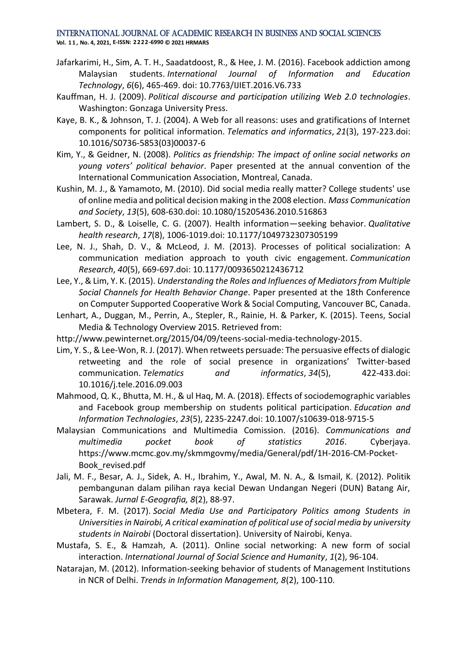- Jafarkarimi, H., Sim, A. T. H., Saadatdoost, R., & Hee, J. M. (2016). Facebook addiction among Malaysian students. *International Journal of Information and Education Technology*, *6*(6), 465-469. doi: 10.7763/IJIET.2016.V6.733
- Kauffman, H. J. (2009). *Political discourse and participation utilizing Web 2.0 technologies*. Washington: Gonzaga University Press.
- Kaye, B. K., & Johnson, T. J. (2004). A Web for all reasons: uses and gratifications of Internet components for political information. *Telematics and informatics*, *21*(3), 197-223.doi: 10.1016/S0736-5853(03)00037-6
- Kim, Y., & Geidner, N. (2008). *Politics as friendship: The impact of online social networks on young voters' political behavior*. Paper presented at the annual convention of the International Communication Association, Montreal, Canada.
- Kushin, M. J., & Yamamoto, M. (2010). Did social media really matter? College students' use of online media and political decision making in the 2008 election. *Mass Communication and Society*, *13*(5), 608-630.doi: 10.1080/15205436.2010.516863
- Lambert, S. D., & Loiselle, C. G. (2007). Health information—seeking behavior. *Qualitative health research*, *17*(8), 1006-1019.doi: 10.1177/1049732307305199
- Lee, N. J., Shah, D. V., & McLeod, J. M. (2013). Processes of political socialization: A communication mediation approach to youth civic engagement. *Communication Research*, *40*(5), 669-697.doi: 10.1177/0093650212436712
- Lee, Y., & Lim, Y. K. (2015). *Understanding the Roles and Influences of Mediators from Multiple Social Channels for Health Behavior Change*. Paper presented at the 18th Conference on Computer Supported Cooperative Work & Social Computing, Vancouver BC, Canada.
- Lenhart, A., Duggan, M., Perrin, A., Stepler, R., Rainie, H. & Parker, K. (2015). Teens, Social Media & Technology Overview 2015. Retrieved from:
- http://www.pewinternet.org/2015/04/09/teens-social-media-technology-2015.
- Lim, Y. S., & Lee-Won, R. J. (2017). When retweets persuade: The persuasive effects of dialogic retweeting and the role of social presence in organizations' Twitter-based communication. *Telematics and informatics*, *34*(5), 422-433.doi: 10.1016/j.tele.2016.09.003
- Mahmood, Q. K., Bhutta, M. H., & ul Haq, M. A. (2018). Effects of sociodemographic variables and Facebook group membership on students political participation. *Education and Information Technologies*, *23*(5), 2235-2247.doi: 10.1007/s10639-018-9715-5
- Malaysian Communications and Multimedia Comission. (2016). *Communications and multimedia pocket book of statistics 2016*. Cyberjaya. https://www.mcmc.gov.my/skmmgovmy/media/General/pdf/1H-2016-CM-Pocket-Book\_revised.pdf
- Jali, M. F., Besar, A. J., Sidek, A. H., Ibrahim, Y., Awal, M. N. A., & Ismail, K. (2012). Politik pembangunan dalam pilihan raya kecial Dewan Undangan Negeri (DUN) Batang Air, Sarawak. *Jurnal E-Geografia, 8*(2), 88-97.
- Mbetera, F. M. (2017). *Social Media Use and Participatory Politics among Students in Universities in Nairobi, A critical examination of political use of social media by university students in Nairobi* (Doctoral dissertation). University of Nairobi, Kenya.
- Mustafa, S. E., & Hamzah, A. (2011). Online social networking: A new form of social interaction. *International Journal of Social Science and Humanity*, *1*(2), 96-104.
- Natarajan, M. (2012). Information-seeking behavior of students of Management Institutions in NCR of Delhi. *Trends in Information Management, 8*(2), 100-110.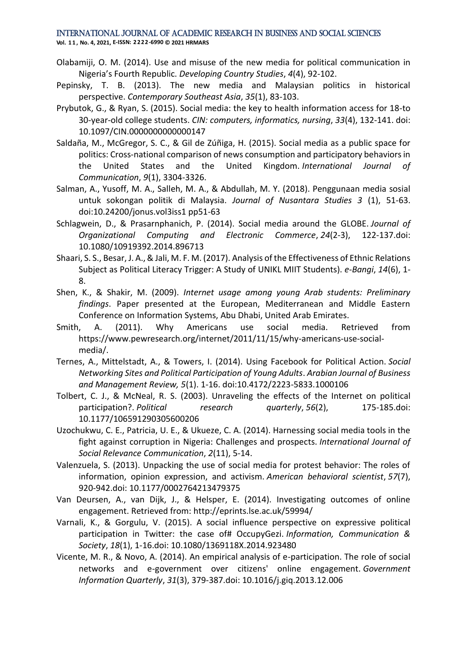**Vol. 1 1 , No. 4, 2021, E-ISSN: 2222-6990 © 2021 HRMARS**

- Olabamiji, O. M. (2014). Use and misuse of the new media for political communication in Nigeria's Fourth Republic. *Developing Country Studies*, *4*(4), 92-102.
- Pepinsky, T. B. (2013). The new media and Malaysian politics in historical perspective. *Contemporary Southeast Asia*, *35*(1), 83-103.
- Prybutok, G., & Ryan, S. (2015). Social media: the key to health information access for 18-to 30-year-old college students. *CIN: computers, informatics, nursing*, *33*(4), 132-141. doi: 10.1097/CIN.0000000000000147
- Saldaña, M., McGregor, S. C., & Gil de Zúñiga, H. (2015). Social media as a public space for politics: Cross-national comparison of news consumption and participatory behaviors in the United States and the United Kingdom. *International Journal of Communication*, *9*(1), 3304-3326.
- Salman, A., Yusoff, M. A., Salleh, M. A., & Abdullah, M. Y. (2018). Penggunaan media sosial untuk sokongan politik di Malaysia. *Journal of Nusantara Studies 3* (1), 51-63. doi:10.24200/jonus.vol3iss1 pp51-63
- Schlagwein, D., & Prasarnphanich, P. (2014). Social media around the GLOBE. *Journal of Organizational Computing and Electronic Commerce*, *24*(2-3), 122-137.doi: 10.1080/10919392.2014.896713
- Shaari, S. S., Besar, J. A., & Jali, M. F. M. (2017). Analysis of the Effectiveness of Ethnic Relations Subject as Political Literacy Trigger: A Study of UNIKL MIIT Students). *e-Bangi*, *14*(6), 1- 8.
- Shen, K., & Shakir, M. (2009). *Internet usage among young Arab students: Preliminary findings*. Paper presented at the European, Mediterranean and Middle Eastern Conference on Information Systems, Abu Dhabi, United Arab Emirates.
- Smith, A. (2011). Why Americans use social media. Retrieved from https://www.pewresearch.org/internet/2011/11/15/why-americans-use-socialmedia/.
- Ternes, A., Mittelstadt, A., & Towers, I. (2014). Using Facebook for Political Action. *Social Networking Sites and Political Participation of Young Adults*. *Arabian Journal of Business and Management Review, 5*(1). 1-16. doi:10.4172/2223-5833.1000106
- Tolbert, C. J., & McNeal, R. S. (2003). Unraveling the effects of the Internet on political participation?. *Political research quarterly*, *56*(2), 175-185.doi: 10.1177/106591290305600206
- Uzochukwu, C. E., Patricia, U. E., & Ukueze, C. A. (2014). Harnessing social media tools in the fight against corruption in Nigeria: Challenges and prospects. *International Journal of Social Relevance Communication*, *2*(11), 5-14.
- Valenzuela, S. (2013). Unpacking the use of social media for protest behavior: The roles of information, opinion expression, and activism. *American behavioral scientist*, *57*(7), 920-942.doi: 10.1177/0002764213479375
- Van Deursen, A., van Dijk, J., & Helsper, E. (2014). Investigating outcomes of online engagement. Retrieved from: http://eprints.lse.ac.uk/59994/
- Varnali, K., & Gorgulu, V. (2015). A social influence perspective on expressive political participation in Twitter: the case of# OccupyGezi. *Information, Communication & Society*, *18*(1), 1-16.doi: 10.1080/1369118X.2014.923480
- Vicente, M. R., & Novo, A. (2014). An empirical analysis of e-participation. The role of social networks and e-government over citizens' online engagement. *Government Information Quarterly*, *31*(3), 379-387.doi: 10.1016/j.giq.2013.12.006